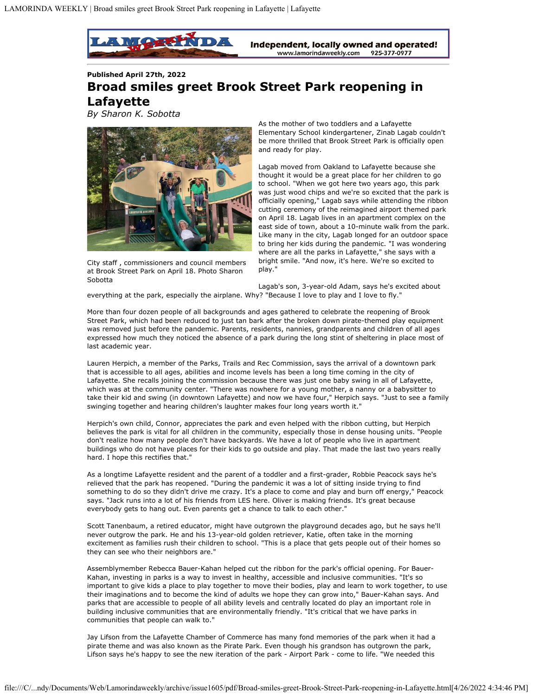

**Published April 27th, 2022 Broad smiles greet Brook Street Park reopening in Lafayette**

*By Sharon K. Sobotta*



City staff , commissioners and council members at Brook Street Park on April 18. Photo Sharon Sobotta

As the mother of two toddlers and a Lafayette Elementary School kindergartener, Zinab Lagab couldn't be more thrilled that Brook Street Park is officially open and ready for play.

Lagab moved from Oakland to Lafayette because she thought it would be a great place for her children to go to school. "When we got here two years ago, this park was just wood chips and we're so excited that the park is officially opening," Lagab says while attending the ribbon cutting ceremony of the reimagined airport themed park on April 18. Lagab lives in an apartment complex on the east side of town, about a 10-minute walk from the park. Like many in the city, Lagab longed for an outdoor space to bring her kids during the pandemic. "I was wondering where are all the parks in Lafayette," she says with a bright smile. "And now, it's here. We're so excited to play."

Lagab's son, 3-year-old Adam, says he's excited about everything at the park, especially the airplane. Why? "Because I love to play and I love to fly."

More than four dozen people of all backgrounds and ages gathered to celebrate the reopening of Brook Street Park, which had been reduced to just tan bark after the broken down pirate-themed play equipment was removed just before the pandemic. Parents, residents, nannies, grandparents and children of all ages expressed how much they noticed the absence of a park during the long stint of sheltering in place most of last academic year.

Lauren Herpich, a member of the Parks, Trails and Rec Commission, says the arrival of a downtown park that is accessible to all ages, abilities and income levels has been a long time coming in the city of Lafayette. She recalls joining the commission because there was just one baby swing in all of Lafayette, which was at the community center. "There was nowhere for a young mother, a nanny or a babysitter to take their kid and swing (in downtown Lafayette) and now we have four," Herpich says. "Just to see a family swinging together and hearing children's laughter makes four long years worth it."

Herpich's own child, Connor, appreciates the park and even helped with the ribbon cutting, but Herpich believes the park is vital for all children in the community, especially those in dense housing units. "People don't realize how many people don't have backyards. We have a lot of people who live in apartment buildings who do not have places for their kids to go outside and play. That made the last two years really hard. I hope this rectifies that."

As a longtime Lafayette resident and the parent of a toddler and a first-grader, Robbie Peacock says he's relieved that the park has reopened. "During the pandemic it was a lot of sitting inside trying to find something to do so they didn't drive me crazy. It's a place to come and play and burn off energy," Peacock says. "Jack runs into a lot of his friends from LES here. Oliver is making friends. It's great because everybody gets to hang out. Even parents get a chance to talk to each other."

Scott Tanenbaum, a retired educator, might have outgrown the playground decades ago, but he says he'll never outgrow the park. He and his 13-year-old golden retriever, Katie, often take in the morning excitement as families rush their children to school. "This is a place that gets people out of their homes so they can see who their neighbors are."

Assemblymember Rebecca Bauer-Kahan helped cut the ribbon for the park's official opening. For Bauer-Kahan, investing in parks is a way to invest in healthy, accessible and inclusive communities. "It's so important to give kids a place to play together to move their bodies, play and learn to work together, to use their imaginations and to become the kind of adults we hope they can grow into," Bauer-Kahan says. And parks that are accessible to people of all ability levels and centrally located do play an important role in building inclusive communities that are environmentally friendly. "It's critical that we have parks in communities that people can walk to."

Jay Lifson from the Lafayette Chamber of Commerce has many fond memories of the park when it had a pirate theme and was also known as the Pirate Park. Even though his grandson has outgrown the park, Lifson says he's happy to see the new iteration of the park - Airport Park - come to life. "We needed this